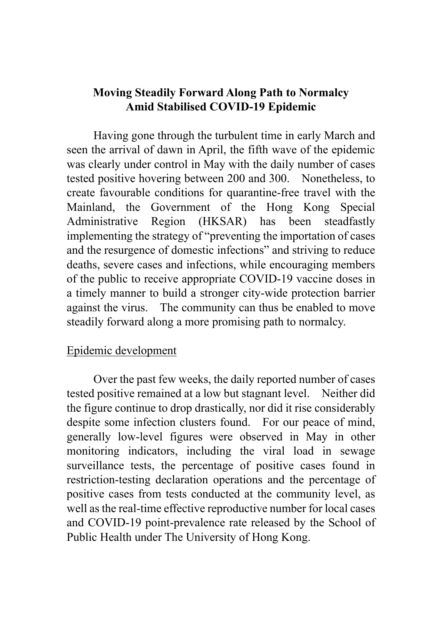# **Moving Steadily Forward Along Path to Normalcy Amid Stabilised COVID-19 Epidemic**

Having gone through the turbulent time in early March and seen the arrival of dawn in April, the fifth wave of the epidemic was clearly under control in May with the daily number of cases tested positive hovering between 200 and 300. Nonetheless, to create favourable conditions for quarantine-free travel with the Mainland, the Government of the Hong Kong Special Administrative Region (HKSAR) has been steadfastly implementing the strategy of "preventing the importation of cases and the resurgence of domestic infections" and striving to reduce deaths, severe cases and infections, while encouraging members of the public to receive appropriate COVID-19 vaccine doses in a timely manner to build a stronger city-wide protection barrier against the virus. The community can thus be enabled to move steadily forward along a more promising path to normalcy.

### Epidemic development

Over the past few weeks, the daily reported number of cases tested positive remained at a low but stagnant level. Neither did the figure continue to drop drastically, nor did it rise considerably despite some infection clusters found. For our peace of mind, generally low-level figures were observed in May in other monitoring indicators, including the viral load in sewage surveillance tests, the percentage of positive cases found in restriction-testing declaration operations and the percentage of positive cases from tests conducted at the community level, as well as the real-time effective reproductive number for local cases and COVID-19 point-prevalence rate released by the School of Public Health under The University of Hong Kong.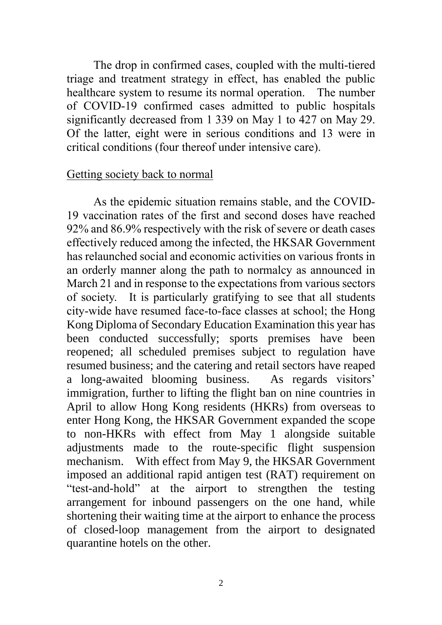The drop in confirmed cases, coupled with the multi-tiered triage and treatment strategy in effect, has enabled the public healthcare system to resume its normal operation. The number of COVID-19 confirmed cases admitted to public hospitals significantly decreased from 1 339 on May 1 to 427 on May 29. Of the latter, eight were in serious conditions and 13 were in critical conditions (four thereof under intensive care).

#### Getting society back to normal

As the epidemic situation remains stable, and the COVID-19 vaccination rates of the first and second doses have reached 92% and 86.9% respectively with the risk of severe or death cases effectively reduced among the infected, the HKSAR Government has relaunched social and economic activities on various fronts in an orderly manner along the path to normalcy as announced in March 21 and in response to the expectations from various sectors of society. It is particularly gratifying to see that all students city-wide have resumed face-to-face classes at school; the Hong Kong Diploma of Secondary Education Examination this year has been conducted successfully; sports premises have been reopened; all scheduled premises subject to regulation have resumed business; and the catering and retail sectors have reaped a long-awaited blooming business. As regards visitors' immigration, further to lifting the flight ban on nine countries in April to allow Hong Kong residents (HKRs) from overseas to enter Hong Kong, the HKSAR Government expanded the scope to non-HKRs with effect from May 1 alongside suitable adjustments made to the route-specific flight suspension mechanism. With effect from May 9, the HKSAR Government imposed an additional rapid antigen test (RAT) requirement on "test-and-hold" at the airport to strengthen the testing arrangement for inbound passengers on the one hand, while shortening their waiting time at the airport to enhance the process of closed-loop management from the airport to designated quarantine hotels on the other.

2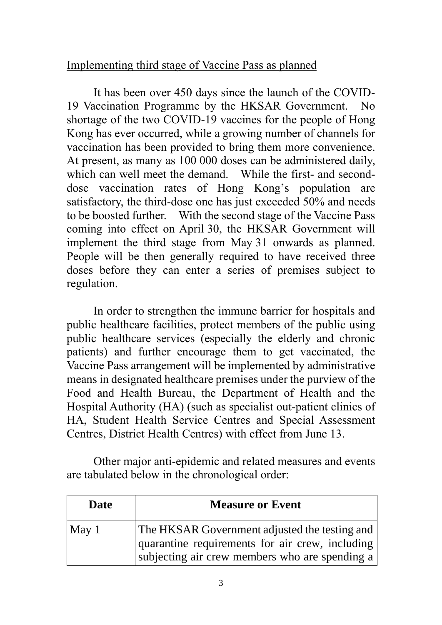# Implementing third stage of Vaccine Pass as planned

It has been over 450 days since the launch of the COVID-19 Vaccination Programme by the HKSAR Government. No shortage of the two COVID-19 vaccines for the people of Hong Kong has ever occurred, while a growing number of channels for vaccination has been provided to bring them more convenience. At present, as many as 100 000 doses can be administered daily, which can well meet the demand. While the first- and seconddose vaccination rates of Hong Kong's population are satisfactory, the third-dose one has just exceeded 50% and needs to be boosted further. With the second stage of the Vaccine Pass coming into effect on April 30, the HKSAR Government will implement the third stage from May 31 onwards as planned. People will be then generally required to have received three doses before they can enter a series of premises subject to regulation.

In order to strengthen the immune barrier for hospitals and public healthcare facilities, protect members of the public using public healthcare services (especially the elderly and chronic patients) and further encourage them to get vaccinated, the Vaccine Pass arrangement will be implemented by administrative means in designated healthcare premises under the purview of the Food and Health Bureau, the Department of Health and the Hospital Authority (HA) (such as specialist out-patient clinics of HA, Student Health Service Centres and Special Assessment Centres, District Health Centres) with effect from June 13.

Other major anti-epidemic and related measures and events are tabulated below in the chronological order:

| <b>Date</b>   | <b>Measure or Event</b>                                                                                                                            |
|---------------|----------------------------------------------------------------------------------------------------------------------------------------------------|
| $\vert$ May 1 | The HKSAR Government adjusted the testing and<br>quarantine requirements for air crew, including<br>subjecting air crew members who are spending a |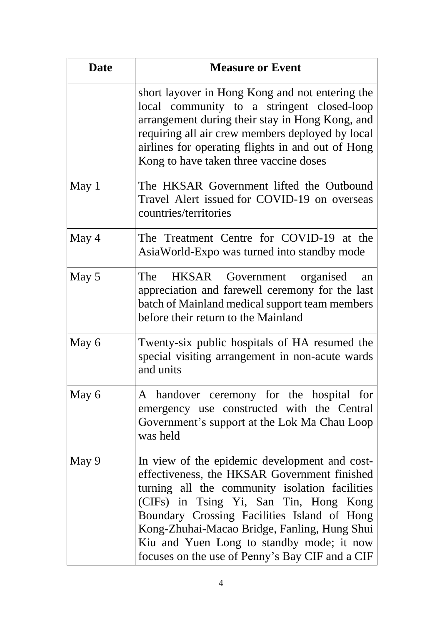| <b>Date</b> | <b>Measure or Event</b>                                                                                                                                                                                                                                                                                                                                                                  |
|-------------|------------------------------------------------------------------------------------------------------------------------------------------------------------------------------------------------------------------------------------------------------------------------------------------------------------------------------------------------------------------------------------------|
|             | short layover in Hong Kong and not entering the<br>local community to a stringent closed-loop<br>arrangement during their stay in Hong Kong, and<br>requiring all air crew members deployed by local<br>airlines for operating flights in and out of Hong<br>Kong to have taken three vaccine doses                                                                                      |
| May 1       | The HKSAR Government lifted the Outbound<br>Travel Alert issued for COVID-19 on overseas<br>countries/territories                                                                                                                                                                                                                                                                        |
| May 4       | The Treatment Centre for COVID-19 at the<br>AsiaWorld-Expo was turned into standby mode                                                                                                                                                                                                                                                                                                  |
| May 5       | The HKSAR Government organised<br>an<br>appreciation and farewell ceremony for the last<br>batch of Mainland medical support team members<br>before their return to the Mainland                                                                                                                                                                                                         |
| May 6       | Twenty-six public hospitals of HA resumed the<br>special visiting arrangement in non-acute wards<br>and units                                                                                                                                                                                                                                                                            |
| May 6       | A handover ceremony for the hospital for<br>emergency use constructed with the Central<br>Government's support at the Lok Ma Chau Loop<br>was held                                                                                                                                                                                                                                       |
| May 9       | In view of the epidemic development and cost-<br>effectiveness, the HKSAR Government finished<br>turning all the community isolation facilities<br>(CIFs) in Tsing Yi, San Tin, Hong Kong<br>Boundary Crossing Facilities Island of Hong<br>Kong-Zhuhai-Macao Bridge, Fanling, Hung Shui<br>Kiu and Yuen Long to standby mode; it now<br>focuses on the use of Penny's Bay CIF and a CIF |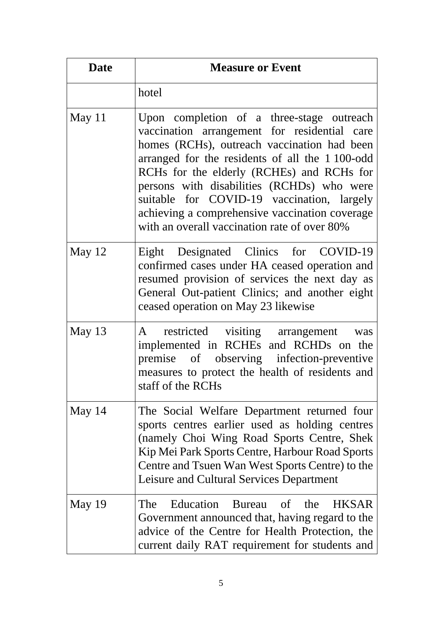| <b>Date</b> | <b>Measure or Event</b>                                                                                                                                                                                                                                                                                                                                                                                                               |
|-------------|---------------------------------------------------------------------------------------------------------------------------------------------------------------------------------------------------------------------------------------------------------------------------------------------------------------------------------------------------------------------------------------------------------------------------------------|
|             | hotel                                                                                                                                                                                                                                                                                                                                                                                                                                 |
| May $11$    | Upon completion of a three-stage outreach<br>vaccination arrangement for residential care<br>homes (RCHs), outreach vaccination had been<br>arranged for the residents of all the 1100-odd<br>RCHs for the elderly (RCHEs) and RCHs for<br>persons with disabilities (RCHDs) who were<br>suitable for COVID-19 vaccination, largely<br>achieving a comprehensive vaccination coverage<br>with an overall vaccination rate of over 80% |
| May $12$    | Eight Designated Clinics for COVID-19<br>confirmed cases under HA ceased operation and<br>resumed provision of services the next day as<br>General Out-patient Clinics; and another eight<br>ceased operation on May 23 likewise                                                                                                                                                                                                      |
| May 13      | restricted visiting arrangement<br>A<br>was<br>implemented in RCHEs and RCHDs on the<br>premise of observing infection-preventive<br>measures to protect the health of residents and<br>staff of the RCHs                                                                                                                                                                                                                             |
| May $14$    | The Social Welfare Department returned four<br>sports centres earlier used as holding centres<br>(namely Choi Wing Road Sports Centre, Shek<br>Kip Mei Park Sports Centre, Harbour Road Sports<br>Centre and Tsuen Wan West Sports Centre) to the<br>Leisure and Cultural Services Department                                                                                                                                         |
| May 19      | Education Bureau of the<br><b>HKSAR</b><br>The<br>Government announced that, having regard to the<br>advice of the Centre for Health Protection, the<br>current daily RAT requirement for students and                                                                                                                                                                                                                                |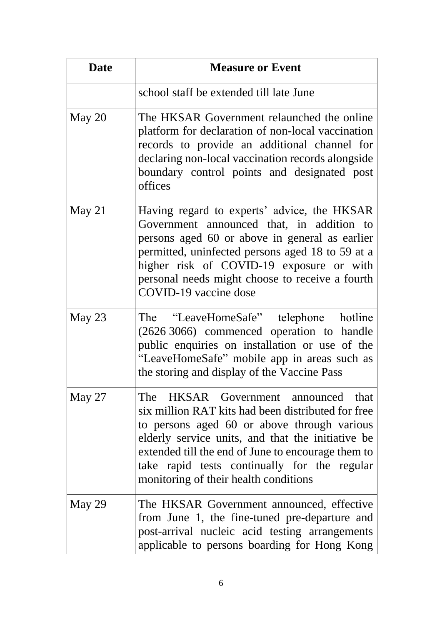| <b>Date</b> | <b>Measure or Event</b>                                                                                                                                                                                                                                                                                                                      |
|-------------|----------------------------------------------------------------------------------------------------------------------------------------------------------------------------------------------------------------------------------------------------------------------------------------------------------------------------------------------|
|             | school staff be extended till late June                                                                                                                                                                                                                                                                                                      |
| May 20      | The HKSAR Government relaunched the online<br>platform for declaration of non-local vaccination<br>records to provide an additional channel for<br>declaring non-local vaccination records alongside<br>boundary control points and designated post<br>offices                                                                               |
| May 21      | Having regard to experts' advice, the HKSAR<br>Government announced that, in addition to<br>persons aged 60 or above in general as earlier<br>permitted, uninfected persons aged 18 to 59 at a<br>higher risk of COVID-19 exposure or with<br>personal needs might choose to receive a fourth<br>COVID-19 vaccine dose                       |
| May 23      | The "LeaveHomeSafe" telephone hotline<br>(2626 3066) commenced operation to handle<br>public enquiries on installation or use of the<br>"LeaveHomeSafe" mobile app in areas such as<br>the storing and display of the Vaccine Pass                                                                                                           |
| May $27$    | The HKSAR Government announced that<br>six million RAT kits had been distributed for free<br>to persons aged 60 or above through various<br>elderly service units, and that the initiative be<br>extended till the end of June to encourage them to<br>take rapid tests continually for the regular<br>monitoring of their health conditions |
| May 29      | The HKSAR Government announced, effective<br>from June 1, the fine-tuned pre-departure and<br>post-arrival nucleic acid testing arrangements<br>applicable to persons boarding for Hong Kong                                                                                                                                                 |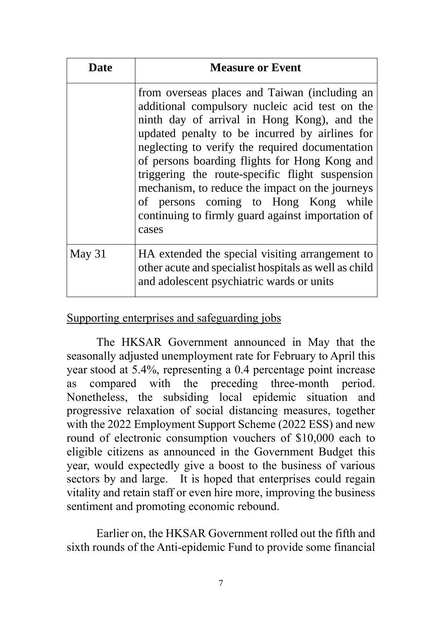| Date     | <b>Measure or Event</b>                                                                                                                                                                                                                                                                                                                                                                                                                                                                                          |
|----------|------------------------------------------------------------------------------------------------------------------------------------------------------------------------------------------------------------------------------------------------------------------------------------------------------------------------------------------------------------------------------------------------------------------------------------------------------------------------------------------------------------------|
|          | from overseas places and Taiwan (including an<br>additional compulsory nucleic acid test on the<br>ninth day of arrival in Hong Kong), and the<br>updated penalty to be incurred by airlines for<br>neglecting to verify the required documentation<br>of persons boarding flights for Hong Kong and<br>triggering the route-specific flight suspension<br>mechanism, to reduce the impact on the journeys<br>of persons coming to Hong Kong while<br>continuing to firmly guard against importation of<br>cases |
| May $31$ | HA extended the special visiting arrangement to<br>other acute and specialist hospitals as well as child<br>and adolescent psychiatric wards or units                                                                                                                                                                                                                                                                                                                                                            |

## Supporting enterprises and safeguarding jobs

The HKSAR Government announced in May that the seasonally adjusted unemployment rate for February to April this year stood at 5.4%, representing a 0.4 percentage point increase as compared with the preceding three-month period. Nonetheless, the subsiding local epidemic situation and progressive relaxation of social distancing measures, together with the 2022 Employment Support Scheme (2022 ESS) and new round of electronic consumption vouchers of \$10,000 each to eligible citizens as announced in the Government Budget this year, would expectedly give a boost to the business of various sectors by and large. It is hoped that enterprises could regain vitality and retain staff or even hire more, improving the business sentiment and promoting economic rebound.

Earlier on, the HKSAR Government rolled out the fifth and sixth rounds of the Anti-epidemic Fund to provide some financial